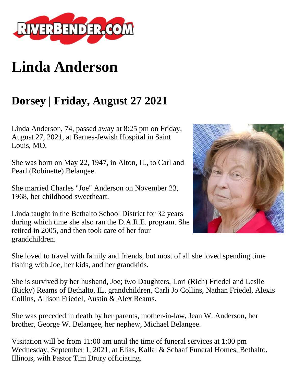

## **Linda Anderson**

## **Dorsey | Friday, August 27 2021**

Linda Anderson, 74, passed away at 8:25 pm on Friday, August 27, 2021, at Barnes-Jewish Hospital in Saint Louis, MO.

She was born on May 22, 1947, in Alton, IL, to Carl and Pearl (Robinette) Belangee.

She married Charles "Joe" Anderson on November 23, 1968, her childhood sweetheart.

Linda taught in the Bethalto School District for 32 years during which time she also ran the D.A.R.E. program. She retired in 2005, and then took care of her four grandchildren.

She loved to travel with family and friends, but most of all she loved spending time fishing with Joe, her kids, and her grandkids.

She is survived by her husband, Joe; two Daughters, Lori (Rich) Friedel and Leslie (Ricky) Reams of Bethalto, IL, grandchildren, Carli Jo Collins, Nathan Friedel, Alexis Collins, Allison Friedel, Austin & Alex Reams.

She was preceded in death by her parents, mother-in-law, Jean W. Anderson, her brother, George W. Belangee, her nephew, Michael Belangee.

Visitation will be from 11:00 am until the time of funeral services at 1:00 pm Wednesday, September 1, 2021, at Elias, Kallal & Schaaf Funeral Homes, Bethalto, Illinois, with Pastor Tim Drury officiating.